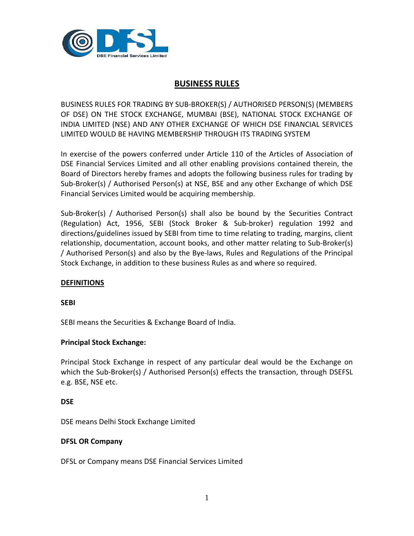

# **BUSINESS RULES**

BUSINESS RULES FOR TRADING BY SUB‐BROKER(S) / AUTHORISED PERSON(S) (MEMBERS OF DSE) ON THE STOCK EXCHANGE, MUMBAI (BSE), NATIONAL STOCK EXCHANGE OF INDIA LIMITED (NSE) AND ANY OTHER EXCHANGE OF WHICH DSE FINANCIAL SERVICES LIMITED WOULD BE HAVING MEMBERSHIP THROUGH ITS TRADING SYSTEM

In exercise of the powers conferred under Article 110 of the Articles of Association of DSE Financial Services Limited and all other enabling provisions contained therein, the Board of Directors hereby frames and adopts the following business rules for trading by Sub‐Broker(s) / Authorised Person(s) at NSE, BSE and any other Exchange of which DSE Financial Services Limited would be acquiring membership.

Sub‐Broker(s) / Authorised Person(s) shall also be bound by the Securities Contract (Regulation) Act, 1956, SEBI (Stock Broker & Sub‐broker) regulation 1992 and directions/guidelines issued by SEBI from time to time relating to trading, margins, client relationship, documentation, account books, and other matter relating to Sub‐Broker(s) / Authorised Person(s) and also by the Bye‐laws, Rules and Regulations of the Principal Stock Exchange, in addition to these business Rules as and where so required.

### **DEFINITIONS**

### **SEBI**

SEBI means the Securities & Exchange Board of India.

### **Principal Stock Exchange:**

Principal Stock Exchange in respect of any particular deal would be the Exchange on which the Sub-Broker(s) / Authorised Person(s) effects the transaction, through DSEFSL e.g. BSE, NSE etc.

### **DSE**

DSE means Delhi Stock Exchange Limited

### **DFSL OR Company**

DFSL or Company means DSE Financial Services Limited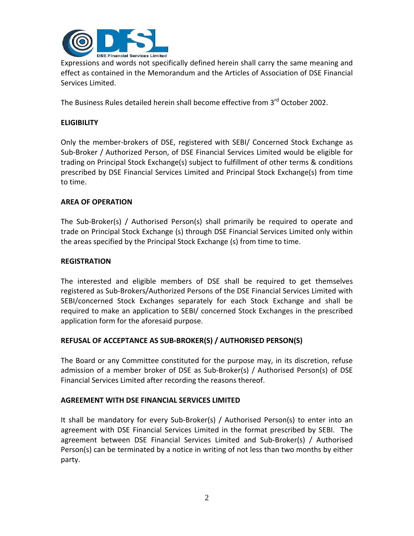

Expressions and words not specifically defined herein shall carry the same meaning and effect as contained in the Memorandum and the Articles of Association of DSE Financial Services Limited.

The Business Rules detailed herein shall become effective from 3<sup>rd</sup> October 2002.

### **ELIGIBILITY**

Only the member‐brokers of DSE, registered with SEBI/ Concerned Stock Exchange as Sub‐Broker / Authorized Person, of DSE Financial Services Limited would be eligible for trading on Principal Stock Exchange(s) subject to fulfillment of other terms & conditions prescribed by DSE Financial Services Limited and Principal Stock Exchange(s) from time to time.

### **AREA OF OPERATION**

The Sub‐Broker(s) / Authorised Person(s) shall primarily be required to operate and trade on Principal Stock Exchange (s) through DSE Financial Services Limited only within the areas specified by the Principal Stock Exchange (s) from time to time.

### **REGISTRATION**

The interested and eligible members of DSE shall be required to get themselves registered as Sub‐Brokers/Authorized Persons of the DSE Financial Services Limited with SEBI/concerned Stock Exchanges separately for each Stock Exchange and shall be required to make an application to SEBI/ concerned Stock Exchanges in the prescribed application form for the aforesaid purpose.

### **REFUSAL OF ACCEPTANCE AS SUB‐BROKER(S) / AUTHORISED PERSON(S)**

The Board or any Committee constituted for the purpose may, in its discretion, refuse admission of a member broker of DSE as Sub‐Broker(s) / Authorised Person(s) of DSE Financial Services Limited after recording the reasons thereof.

### **AGREEMENT WITH DSE FINANCIAL SERVICES LIMITED**

It shall be mandatory for every Sub‐Broker(s) / Authorised Person(s) to enter into an agreement with DSE Financial Services Limited in the format prescribed by SEBI. The agreement between DSE Financial Services Limited and Sub‐Broker(s) / Authorised Person(s) can be terminated by a notice in writing of not less than two months by either party.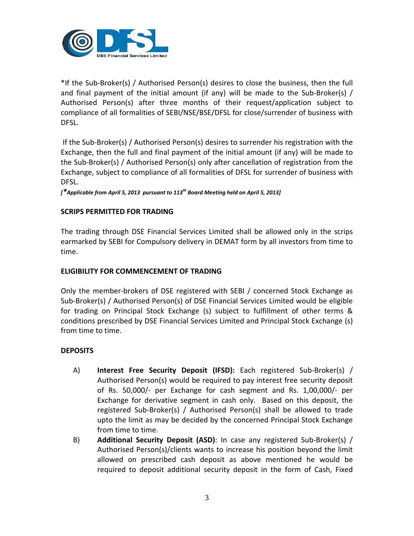

\*If the Sub‐Broker(s) / Authorised Person(s) desires to close the business, then the full and final payment of the initial amount (if any) will be made to the Sub-Broker(s)  $/$ Authorised Person(s) after three months of their request/application subject to compliance of all formalities of SEBI/NSE/BSE/DFSL for close/surrender of business with DFSL.

If the Sub‐Broker(s) / Authorised Person(s) desires to surrender his registration with the Exchange, then the full and final payment of the initial amount (if any) will be made to the Sub‐Broker(s) / Authorised Person(s) only after cancellation of registration from the Exchange, subject to compliance of all formalities of DFSL for surrender of business with DFSL.

*[\*Applicable from April 5, 2013 pursuant to 113th Board Meeting held on April 5, 2013]*

### **SCRIPS PERMITTED FOR TRADING**

The trading through DSE Financial Services Limited shall be allowed only in the scrips earmarked by SEBI for Compulsory delivery in DEMAT form by all investors from time to time.

### **ELIGIBILITY FOR COMMENCEMENT OF TRADING**

Only the member‐brokers of DSE registered with SEBI / concerned Stock Exchange as Sub-Broker(s) / Authorised Person(s) of DSE Financial Services Limited would be eligible for trading on Principal Stock Exchange (s) subject to fulfillment of other terms & conditions prescribed by DSE Financial Services Limited and Principal Stock Exchange (s) from time to time.

### **DEPOSITS**

- A) **Interest Free Security Deposit (IFSD):** Each registered Sub‐Broker(s) / Authorised Person(s) would be required to pay interest free security deposit of Rs. 50,000/‐ per Exchange for cash segment and Rs. 1,00,000/‐ per Exchange for derivative segment in cash only. Based on this deposit, the registered Sub‐Broker(s) / Authorised Person(s) shall be allowed to trade upto the limit as may be decided by the concerned Principal Stock Exchange from time to time.
- B) **Additional Security Deposit (ASD)**: In case any registered Sub‐Broker(s) / Authorised Person(s)/clients wants to increase his position beyond the limit allowed on prescribed cash deposit as above mentioned he would be required to deposit additional security deposit in the form of Cash, Fixed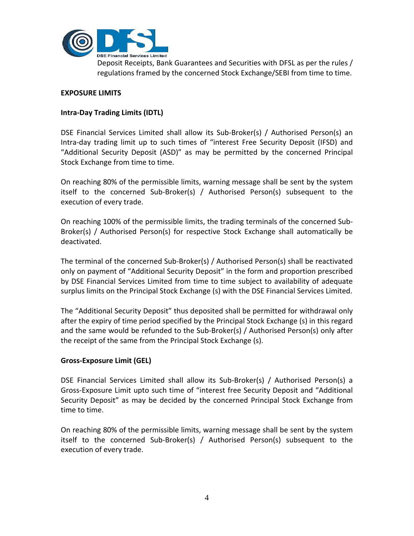

Deposit Receipts, Bank Guarantees and Securities with DFSL as per the rules / regulations framed by the concerned Stock Exchange/SEBI from time to time.

### **EXPOSURE LIMITS**

### **Intra‐Day Trading Limits (IDTL)**

DSE Financial Services Limited shall allow its Sub-Broker(s) / Authorised Person(s) an Intra‐day trading limit up to such times of "interest Free Security Deposit (IFSD) and "Additional Security Deposit (ASD)" as may be permitted by the concerned Principal Stock Exchange from time to time.

On reaching 80% of the permissible limits, warning message shall be sent by the system itself to the concerned Sub‐Broker(s) / Authorised Person(s) subsequent to the execution of every trade.

On reaching 100% of the permissible limits, the trading terminals of the concerned Sub‐ Broker(s) / Authorised Person(s) for respective Stock Exchange shall automatically be deactivated.

The terminal of the concerned Sub‐Broker(s) / Authorised Person(s) shall be reactivated only on payment of "Additional Security Deposit" in the form and proportion prescribed by DSE Financial Services Limited from time to time subject to availability of adequate surplus limits on the Principal Stock Exchange (s) with the DSE Financial Services Limited.

The "Additional Security Deposit" thus deposited shall be permitted for withdrawal only after the expiry of time period specified by the Principal Stock Exchange (s) in this regard and the same would be refunded to the Sub‐Broker(s) / Authorised Person(s) only after the receipt of the same from the Principal Stock Exchange (s).

### **Gross‐Exposure Limit (GEL)**

DSE Financial Services Limited shall allow its Sub‐Broker(s) / Authorised Person(s) a Gross‐Exposure Limit upto such time of "interest free Security Deposit and "Additional Security Deposit" as may be decided by the concerned Principal Stock Exchange from time to time.

On reaching 80% of the permissible limits, warning message shall be sent by the system itself to the concerned Sub‐Broker(s) / Authorised Person(s) subsequent to the execution of every trade.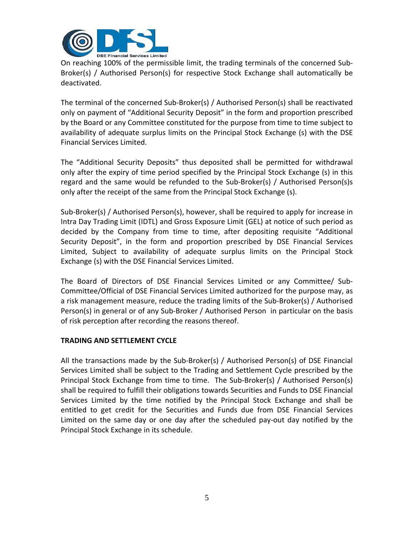

On reaching 100% of the permissible limit, the trading terminals of the concerned Sub‐ Broker(s) / Authorised Person(s) for respective Stock Exchange shall automatically be deactivated.

The terminal of the concerned Sub‐Broker(s) / Authorised Person(s) shall be reactivated only on payment of "Additional Security Deposit" in the form and proportion prescribed by the Board or any Committee constituted for the purpose from time to time subject to availability of adequate surplus limits on the Principal Stock Exchange (s) with the DSE Financial Services Limited.

The "Additional Security Deposits" thus deposited shall be permitted for withdrawal only after the expiry of time period specified by the Principal Stock Exchange (s) in this regard and the same would be refunded to the Sub‐Broker(s) / Authorised Person(s)s only after the receipt of the same from the Principal Stock Exchange (s).

Sub-Broker(s) / Authorised Person(s), however, shall be required to apply for increase in Intra Day Trading Limit (IDTL) and Gross Exposure Limit (GEL) at notice of such period as decided by the Company from time to time, after depositing requisite "Additional Security Deposit", in the form and proportion prescribed by DSE Financial Services Limited, Subject to availability of adequate surplus limits on the Principal Stock Exchange (s) with the DSE Financial Services Limited.

The Board of Directors of DSE Financial Services Limited or any Committee/ Sub‐ Committee/Official of DSE Financial Services Limited authorized for the purpose may, as a risk management measure, reduce the trading limits of the Sub‐Broker(s) / Authorised Person(s) in general or of any Sub‐Broker / Authorised Person in particular on the basis of risk perception after recording the reasons thereof.

### **TRADING AND SETTLEMENT CYCLE**

All the transactions made by the Sub‐Broker(s) / Authorised Person(s) of DSE Financial Services Limited shall be subject to the Trading and Settlement Cycle prescribed by the Principal Stock Exchange from time to time. The Sub‐Broker(s) / Authorised Person(s) shall be required to fulfill their obligations towards Securities and Funds to DSE Financial Services Limited by the time notified by the Principal Stock Exchange and shall be entitled to get credit for the Securities and Funds due from DSE Financial Services Limited on the same day or one day after the scheduled pay‐out day notified by the Principal Stock Exchange in its schedule.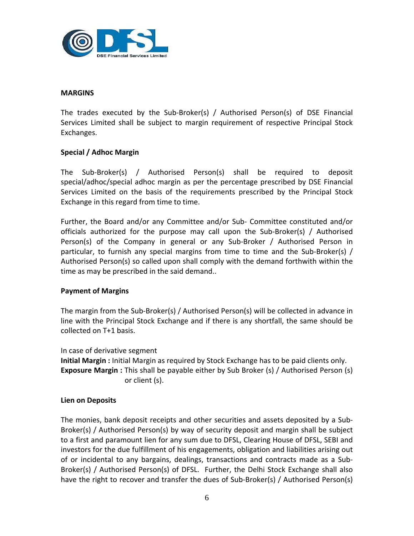

### **MARGINS**

The trades executed by the Sub‐Broker(s) / Authorised Person(s) of DSE Financial Services Limited shall be subject to margin requirement of respective Principal Stock Exchanges.

### **Special / Adhoc Margin**

The Sub‐Broker(s) / Authorised Person(s) shall be required to deposit special/adhoc/special adhoc margin as per the percentage prescribed by DSE Financial Services Limited on the basis of the requirements prescribed by the Principal Stock Exchange in this regard from time to time.

Further, the Board and/or any Committee and/or Sub‐ Committee constituted and/or officials authorized for the purpose may call upon the Sub‐Broker(s) / Authorised Person(s) of the Company in general or any Sub-Broker / Authorised Person in particular, to furnish any special margins from time to time and the Sub‐Broker(s) / Authorised Person(s) so called upon shall comply with the demand forthwith within the time as may be prescribed in the said demand..

### **Payment of Margins**

The margin from the Sub‐Broker(s) / Authorised Person(s) will be collected in advance in line with the Principal Stock Exchange and if there is any shortfall, the same should be collected on T+1 basis.

In case of derivative segment **Initial Margin :** Initial Margin as required by Stock Exchange has to be paid clients only. **Exposure Margin :** This shall be payable either by Sub Broker (s) / Authorised Person (s) or client (s).

### **Lien on Deposits**

The monies, bank deposit receipts and other securities and assets deposited by a Sub‐ Broker(s) / Authorised Person(s) by way of security deposit and margin shall be subject to a first and paramount lien for any sum due to DFSL, Clearing House of DFSL, SEBI and investors for the due fulfillment of his engagements, obligation and liabilities arising out of or incidental to any bargains, dealings, transactions and contracts made as a Sub‐ Broker(s) / Authorised Person(s) of DFSL. Further, the Delhi Stock Exchange shall also have the right to recover and transfer the dues of Sub-Broker(s) / Authorised Person(s)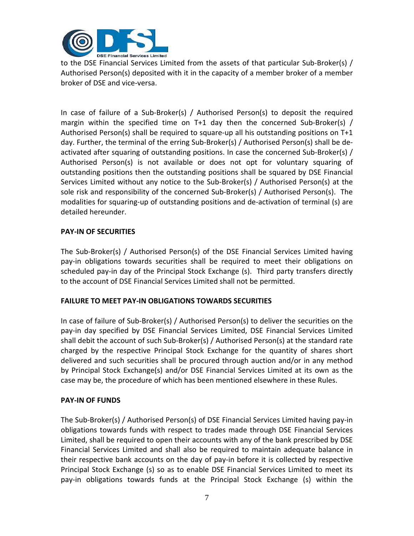

to the DSE Financial Services Limited from the assets of that particular Sub-Broker(s) / Authorised Person(s) deposited with it in the capacity of a member broker of a member broker of DSE and vice‐versa.

In case of failure of a Sub‐Broker(s) / Authorised Person(s) to deposit the required margin within the specified time on T+1 day then the concerned Sub-Broker(s) / Authorised Person(s) shall be required to square-up all his outstanding positions on T+1 day. Further, the terminal of the erring Sub‐Broker(s) / Authorised Person(s) shall be de‐ activated after squaring of outstanding positions. In case the concerned Sub-Broker(s) / Authorised Person(s) is not available or does not opt for voluntary squaring of outstanding positions then the outstanding positions shall be squared by DSE Financial Services Limited without any notice to the Sub-Broker(s) / Authorised Person(s) at the sole risk and responsibility of the concerned Sub‐Broker(s) / Authorised Person(s). The modalities for squaring-up of outstanding positions and de-activation of terminal (s) are detailed hereunder.

### **PAY‐IN OF SECURITIES**

The Sub‐Broker(s) / Authorised Person(s) of the DSE Financial Services Limited having pay‐in obligations towards securities shall be required to meet their obligations on scheduled pay-in day of the Principal Stock Exchange (s). Third party transfers directly to the account of DSE Financial Services Limited shall not be permitted.

### **FAILURE TO MEET PAY‐IN OBLIGATIONS TOWARDS SECURITIES**

In case of failure of Sub‐Broker(s) / Authorised Person(s) to deliver the securities on the pay‐in day specified by DSE Financial Services Limited, DSE Financial Services Limited shall debit the account of such Sub‐Broker(s) / Authorised Person(s) at the standard rate charged by the respective Principal Stock Exchange for the quantity of shares short delivered and such securities shall be procured through auction and/or in any method by Principal Stock Exchange(s) and/or DSE Financial Services Limited at its own as the case may be, the procedure of which has been mentioned elsewhere in these Rules.

### **PAY‐IN OF FUNDS**

The Sub‐Broker(s) / Authorised Person(s) of DSE Financial Services Limited having pay‐in obligations towards funds with respect to trades made through DSE Financial Services Limited, shall be required to open their accounts with any of the bank prescribed by DSE Financial Services Limited and shall also be required to maintain adequate balance in their respective bank accounts on the day of pay‐in before it is collected by respective Principal Stock Exchange (s) so as to enable DSE Financial Services Limited to meet its pay‐in obligations towards funds at the Principal Stock Exchange (s) within the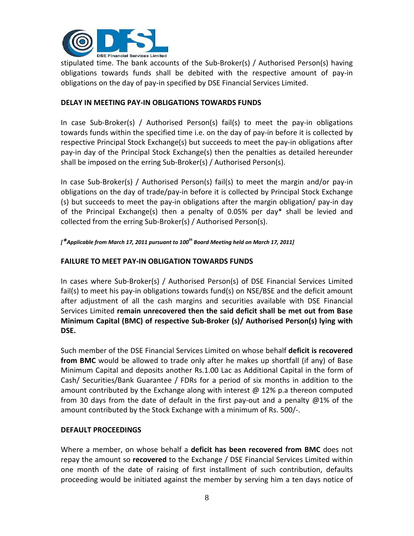

stipulated time. The bank accounts of the Sub‐Broker(s) / Authorised Person(s) having obligations towards funds shall be debited with the respective amount of pay‐in obligations on the day of pay‐in specified by DSE Financial Services Limited.

### **DELAY IN MEETING PAY‐IN OBLIGATIONS TOWARDS FUNDS**

In case Sub‐Broker(s) / Authorised Person(s) fail(s) to meet the pay‐in obligations towards funds within the specified time i.e. on the day of pay‐in before it is collected by respective Principal Stock Exchange(s) but succeeds to meet the pay‐in obligations after pay‐in day of the Principal Stock Exchange(s) then the penalties as detailed hereunder shall be imposed on the erring Sub‐Broker(s) / Authorised Person(s).

In case Sub‐Broker(s) / Authorised Person(s) fail(s) to meet the margin and/or pay‐in obligations on the day of trade/pay‐in before it is collected by Principal Stock Exchange (s) but succeeds to meet the pay‐in obligations after the margin obligation/ pay‐in day of the Principal Exchange(s) then a penalty of 0.05% per day\* shall be levied and collected from the erring Sub‐Broker(s) / Authorised Person(s).

*[\*Applicable from March 17, 2011 pursuant to 100th Board Meeting held on March 17, 2011]*

### **FAILURE TO MEET PAY‐IN OBLIGATION TOWARDS FUNDS**

In cases where Sub‐Broker(s) / Authorised Person(s) of DSE Financial Services Limited fail(s) to meet his pay‐in obligations towards fund(s) on NSE/BSE and the deficit amount after adjustment of all the cash margins and securities available with DSE Financial Services Limited **remain unrecovered then the said deficit shall be met out from Base Minimum Capital (BMC) of respective Sub‐Broker (s)/ Authorised Person(s) lying with DSE.**

Such member of the DSE Financial Services Limited on whose behalf **deficit is recovered from BMC** would be allowed to trade only after he makes up shortfall (if any) of Base Minimum Capital and deposits another Rs.1.00 Lac as Additional Capital in the form of Cash/ Securities/Bank Guarantee / FDRs for a period of six months in addition to the amount contributed by the Exchange along with interest @ 12% p.a thereon computed from 30 days from the date of default in the first pay‐out and a penalty @1% of the amount contributed by the Stock Exchange with a minimum of Rs. 500/‐.

### **DEFAULT PROCEEDINGS**

Where a member, on whose behalf a **deficit has been recovered from BMC** does not repay the amount so **recovered** to the Exchange / DSE Financial Services Limited within one month of the date of raising of first installment of such contribution, defaults proceeding would be initiated against the member by serving him a ten days notice of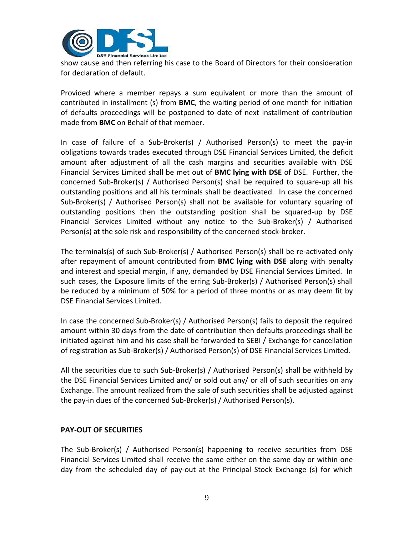

show cause and then referring his case to the Board of Directors for their consideration for declaration of default.

Provided where a member repays a sum equivalent or more than the amount of contributed in installment (s) from **BMC**, the waiting period of one month for initiation of defaults proceedings will be postponed to date of next installment of contribution made from **BMC** on Behalf of that member.

In case of failure of a Sub‐Broker(s) / Authorised Person(s) to meet the pay‐in obligations towards trades executed through DSE Financial Services Limited, the deficit amount after adjustment of all the cash margins and securities available with DSE Financial Services Limited shall be met out of **BMC lying with DSE** of DSE. Further, the concerned Sub‐Broker(s) / Authorised Person(s) shall be required to square‐up all his outstanding positions and all his terminals shall be deactivated. In case the concerned Sub‐Broker(s) / Authorised Person(s) shall not be available for voluntary squaring of outstanding positions then the outstanding position shall be squared‐up by DSE Financial Services Limited without any notice to the Sub‐Broker(s) / Authorised Person(s) at the sole risk and responsibility of the concerned stock-broker.

The terminals(s) of such Sub‐Broker(s) / Authorised Person(s) shall be re‐activated only after repayment of amount contributed from **BMC lying with DSE** along with penalty and interest and special margin, if any, demanded by DSE Financial Services Limited. In such cases, the Exposure limits of the erring Sub-Broker(s) / Authorised Person(s) shall be reduced by a minimum of 50% for a period of three months or as may deem fit by DSE Financial Services Limited.

In case the concerned Sub‐Broker(s) / Authorised Person(s) fails to deposit the required amount within 30 days from the date of contribution then defaults proceedings shall be initiated against him and his case shall be forwarded to SEBI / Exchange for cancellation of registration as Sub‐Broker(s) / Authorised Person(s) of DSE Financial Services Limited.

All the securities due to such Sub‐Broker(s) / Authorised Person(s) shall be withheld by the DSE Financial Services Limited and/ or sold out any/ or all of such securities on any Exchange. The amount realized from the sale of such securities shall be adjusted against the pay‐in dues of the concerned Sub‐Broker(s) / Authorised Person(s).

### **PAY‐OUT OF SECURITIES**

The Sub‐Broker(s) / Authorised Person(s) happening to receive securities from DSE Financial Services Limited shall receive the same either on the same day or within one day from the scheduled day of pay‐out at the Principal Stock Exchange (s) for which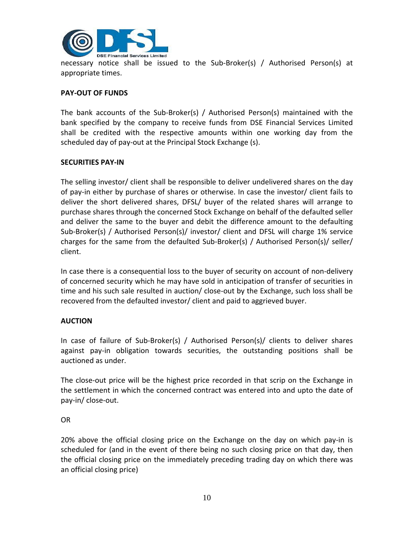

necessary notice shall be issued to the Sub‐Broker(s) / Authorised Person(s) at appropriate times.

### **PAY‐OUT OF FUNDS**

The bank accounts of the Sub‐Broker(s) / Authorised Person(s) maintained with the bank specified by the company to receive funds from DSE Financial Services Limited shall be credited with the respective amounts within one working day from the scheduled day of pay-out at the Principal Stock Exchange (s).

### **SECURITIES PAY‐IN**

The selling investor/ client shall be responsible to deliver undelivered shares on the day of pay‐in either by purchase of shares or otherwise. In case the investor/ client fails to deliver the short delivered shares, DFSL/ buyer of the related shares will arrange to purchase shares through the concerned Stock Exchange on behalf of the defaulted seller and deliver the same to the buyer and debit the difference amount to the defaulting Sub‐Broker(s) / Authorised Person(s)/ investor/ client and DFSL will charge 1% service charges for the same from the defaulted Sub‐Broker(s) / Authorised Person(s)/ seller/ client.

In case there is a consequential loss to the buyer of security on account of non‐delivery of concerned security which he may have sold in anticipation of transfer of securities in time and his such sale resulted in auction/ close-out by the Exchange, such loss shall be recovered from the defaulted investor/ client and paid to aggrieved buyer.

### **AUCTION**

In case of failure of Sub‐Broker(s) / Authorised Person(s)/ clients to deliver shares against pay‐in obligation towards securities, the outstanding positions shall be auctioned as under.

The close‐out price will be the highest price recorded in that scrip on the Exchange in the settlement in which the concerned contract was entered into and upto the date of pay‐in/ close‐out.

### OR

20% above the official closing price on the Exchange on the day on which pay‐in is scheduled for (and in the event of there being no such closing price on that day, then the official closing price on the immediately preceding trading day on which there was an official closing price)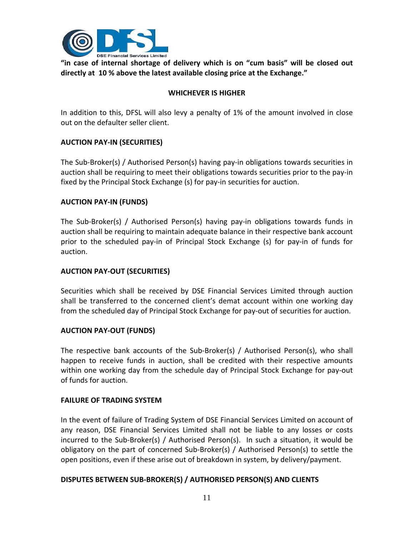

**"in case of internal shortage of delivery which is on "cum basis" will be closed out directly at 10 % above the latest available closing price at the Exchange."**

### **WHICHEVER IS HIGHER**

In addition to this, DFSL will also levy a penalty of 1% of the amount involved in close out on the defaulter seller client.

### **AUCTION PAY‐IN (SECURITIES)**

The Sub‐Broker(s) / Authorised Person(s) having pay‐in obligations towards securities in auction shall be requiring to meet their obligations towards securities prior to the pay‐in fixed by the Principal Stock Exchange (s) for pay-in securities for auction.

### **AUCTION PAY‐IN (FUNDS)**

The Sub‐Broker(s) / Authorised Person(s) having pay‐in obligations towards funds in auction shall be requiring to maintain adequate balance in their respective bank account prior to the scheduled pay‐in of Principal Stock Exchange (s) for pay‐in of funds for auction.

### **AUCTION PAY‐OUT (SECURITIES)**

Securities which shall be received by DSE Financial Services Limited through auction shall be transferred to the concerned client's demat account within one working day from the scheduled day of Principal Stock Exchange for pay‐out of securities for auction.

### **AUCTION PAY‐OUT (FUNDS)**

The respective bank accounts of the Sub‐Broker(s) / Authorised Person(s), who shall happen to receive funds in auction, shall be credited with their respective amounts within one working day from the schedule day of Principal Stock Exchange for pay‐out of funds for auction.

### **FAILURE OF TRADING SYSTEM**

In the event of failure of Trading System of DSE Financial Services Limited on account of any reason, DSE Financial Services Limited shall not be liable to any losses or costs incurred to the Sub‐Broker(s) / Authorised Person(s). In such a situation, it would be obligatory on the part of concerned Sub‐Broker(s) / Authorised Person(s) to settle the open positions, even if these arise out of breakdown in system, by delivery/payment.

### **DISPUTES BETWEEN SUB‐BROKER(S) / AUTHORISED PERSON(S) AND CLIENTS**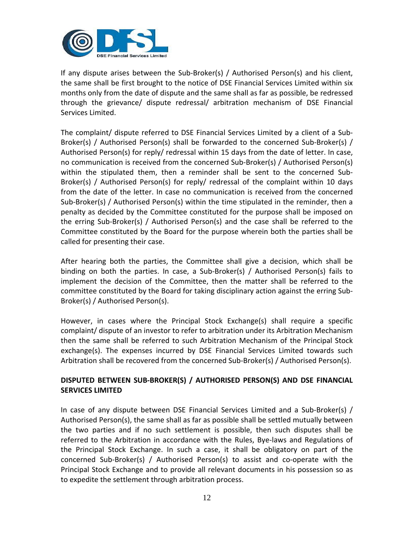

If any dispute arises between the Sub‐Broker(s) / Authorised Person(s) and his client, the same shall be first brought to the notice of DSE Financial Services Limited within six months only from the date of dispute and the same shall as far as possible, be redressed through the grievance/ dispute redressal/ arbitration mechanism of DSE Financial Services Limited.

The complaint/ dispute referred to DSE Financial Services Limited by a client of a Sub‐ Broker(s) / Authorised Person(s) shall be forwarded to the concerned Sub‐Broker(s) / Authorised Person(s) for reply/ redressal within 15 days from the date of letter. In case, no communication is received from the concerned Sub‐Broker(s) / Authorised Person(s) within the stipulated them, then a reminder shall be sent to the concerned Sub-Broker(s) / Authorised Person(s) for reply/ redressal of the complaint within 10 days from the date of the letter. In case no communication is received from the concerned Sub-Broker(s) / Authorised Person(s) within the time stipulated in the reminder, then a penalty as decided by the Committee constituted for the purpose shall be imposed on the erring Sub‐Broker(s) / Authorised Person(s) and the case shall be referred to the Committee constituted by the Board for the purpose wherein both the parties shall be called for presenting their case.

After hearing both the parties, the Committee shall give a decision, which shall be binding on both the parties. In case, a Sub-Broker(s) / Authorised Person(s) fails to implement the decision of the Committee, then the matter shall be referred to the committee constituted by the Board for taking disciplinary action against the erring Sub‐ Broker(s) / Authorised Person(s).

However, in cases where the Principal Stock Exchange(s) shall require a specific complaint/ dispute of an investor to refer to arbitration under its Arbitration Mechanism then the same shall be referred to such Arbitration Mechanism of the Principal Stock exchange(s). The expenses incurred by DSE Financial Services Limited towards such Arbitration shall be recovered from the concerned Sub‐Broker(s) / Authorised Person(s).

# **DISPUTED BETWEEN SUB‐BROKER(S) / AUTHORISED PERSON(S) AND DSE FINANCIAL SERVICES LIMITED**

In case of any dispute between DSE Financial Services Limited and a Sub‐Broker(s) / Authorised Person(s), the same shall as far as possible shall be settled mutually between the two parties and if no such settlement is possible, then such disputes shall be referred to the Arbitration in accordance with the Rules, Bye‐laws and Regulations of the Principal Stock Exchange. In such a case, it shall be obligatory on part of the concerned Sub‐Broker(s) / Authorised Person(s) to assist and co‐operate with the Principal Stock Exchange and to provide all relevant documents in his possession so as to expedite the settlement through arbitration process.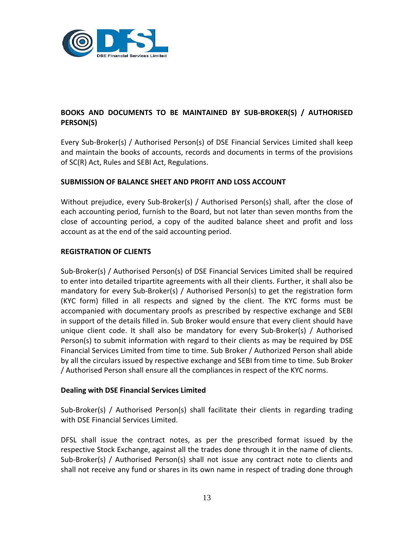

# **BOOKS AND DOCUMENTS TO BE MAINTAINED BY SUB‐BROKER(S) / AUTHORISED PERSON(S)**

Every Sub‐Broker(s) / Authorised Person(s) of DSE Financial Services Limited shall keep and maintain the books of accounts, records and documents in terms of the provisions of SC(R) Act, Rules and SEBI Act, Regulations.

### **SUBMISSION OF BALANCE SHEET AND PROFIT AND LOSS ACCOUNT**

Without prejudice, every Sub‐Broker(s) / Authorised Person(s) shall, after the close of each accounting period, furnish to the Board, but not later than seven months from the close of accounting period, a copy of the audited balance sheet and profit and loss account as at the end of the said accounting period.

### **REGISTRATION OF CLIENTS**

Sub‐Broker(s) / Authorised Person(s) of DSE Financial Services Limited shall be required to enter into detailed tripartite agreements with all their clients. Further, it shall also be mandatory for every Sub‐Broker(s) / Authorised Person(s) to get the registration form (KYC form) filled in all respects and signed by the client. The KYC forms must be accompanied with documentary proofs as prescribed by respective exchange and SEBI in support of the details filled in. Sub Broker would ensure that every client should have unique client code. It shall also be mandatory for every Sub‐Broker(s) / Authorised Person(s) to submit information with regard to their clients as may be required by DSE Financial Services Limited from time to time. Sub Broker / Authorized Person shall abide by all the circulars issued by respective exchange and SEBI from time to time. Sub Broker / Authorised Person shall ensure all the compliances in respect of the KYC norms.

### **Dealing with DSE Financial Services Limited**

Sub‐Broker(s) / Authorised Person(s) shall facilitate their clients in regarding trading with DSE Financial Services Limited.

DFSL shall issue the contract notes, as per the prescribed format issued by the respective Stock Exchange, against all the trades done through it in the name of clients. Sub‐Broker(s) / Authorised Person(s) shall not issue any contract note to clients and shall not receive any fund or shares in its own name in respect of trading done through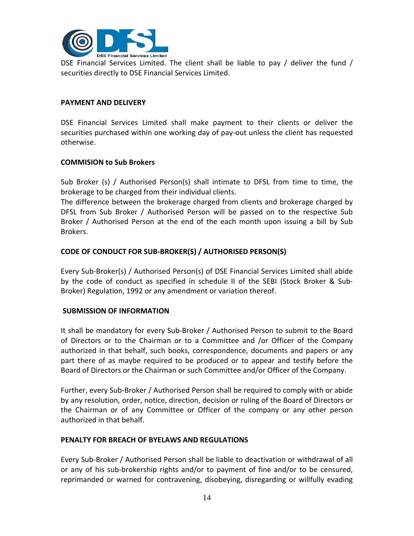

DSE Financial Services Limited. The client shall be liable to pay / deliver the fund / securities directly to DSE Financial Services Limited.

### **PAYMENT AND DELIVERY**

DSE Financial Services Limited shall make payment to their clients or deliver the securities purchased within one working day of pay‐out unless the client has requested otherwise.

### **COMMISION to Sub Brokers**

Sub Broker (s) / Authorised Person(s) shall intimate to DFSL from time to time, the brokerage to be charged from their individual clients.

The difference between the brokerage charged from clients and brokerage charged by DFSL from Sub Broker / Authorised Person will be passed on to the respective Sub Broker / Authorised Person at the end of the each month upon issuing a bill by Sub Brokers.

### **CODE OF CONDUCT FOR SUB‐BROKER(S) / AUTHORISED PERSON(S)**

Every Sub‐Broker(s) / Authorised Person(s) of DSE Financial Services Limited shall abide by the code of conduct as specified in schedule II of the SEBI (Stock Broker & Sub‐ Broker) Regulation, 1992 or any amendment or variation thereof.

### **SUBMISSION OF INFORMATION**

It shall be mandatory for every Sub‐Broker / Authorised Person to submit to the Board of Directors or to the Chairman or to a Committee and /or Officer of the Company authorized in that behalf, such books, correspondence, documents and papers or any part there of as maybe required to be produced or to appear and testify before the Board of Directors or the Chairman or such Committee and/or Officer of the Company.

Further, every Sub‐Broker / Authorised Person shall be required to comply with or abide by any resolution, order, notice, direction, decision or ruling of the Board of Directors or the Chairman or of any Committee or Officer of the company or any other person authorized in that behalf.

### **PENALTY FOR BREACH OF BYELAWS AND REGULATIONS**

Every Sub‐Broker / Authorised Person shall be liable to deactivation or withdrawal of all or any of his sub‐brokership rights and/or to payment of fine and/or to be censured, reprimanded or warned for contravening, disobeying, disregarding or willfully evading